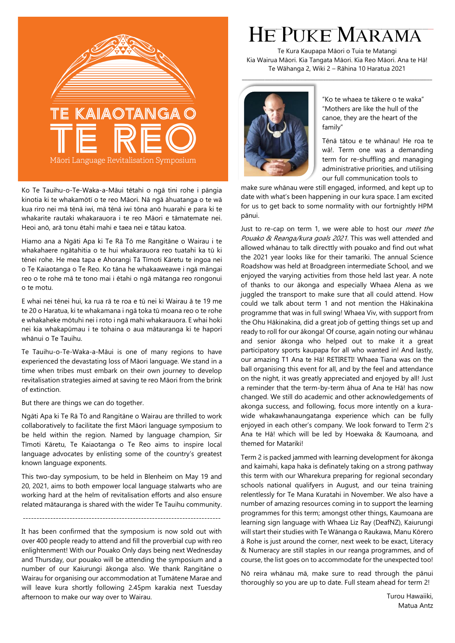

Ko Te Tauihu-o-Te-Waka-a-Māui tētahi o ngā tini rohe i pāngia kinotia ki te whakamōtī o te reo Māori. Nā ngā āhuatanga o te wā kua riro nei mā tēnā iwi, mā tēnā iwi tōna anō huarahi e para ki te whakarite rautaki whakarauora i te reo Māori e tāmatemate nei. Heoi anō, arā tonu ētahi mahi e taea nei e tātau katoa.

Hiamo ana a Ngāti Apa ki Te Rā Tō me Rangitāne o Wairau i te whakahaere ngātahitia o te hui whakarauora reo tuatahi ka tū ki tēnei rohe. He mea tapa e Ahorangi Tā Tīmoti Kāretu te ingoa nei o Te Kaiaotanga o Te Reo. Ko tāna he whakaaweawe i ngā māngai reo o te rohe mā te tono mai i ētahi o ngā mātanga reo rongonui o te motu.

E whai nei tēnei hui, ka rua rā te roa e tū nei ki Wairau ā te 19 me te 20 o Haratua, ki te whakamana i ngā toka tū moana reo o te rohe e whakaheke mōtuhi nei i roto i ngā mahi whakarauora. E whai hoki nei kia whakapūmau i te tohaina o aua mātauranga ki te hapori whānui o Te Tauihu.

Te Tauihu-o-Te-Waka-a-Māui is one of many regions to have experienced the devastating loss of Māori language. We stand in a time when tribes must embark on their own journey to develop revitalisation strategies aimed at saving te reo Māori from the brink of extinction.

But there are things we can do together.

Ngāti Apa ki Te Rā Tō and Rangitāne o Wairau are thrilled to work collaboratively to facilitate the first Māori language symposium to be held within the region. Named by language champion, Sir Tīmoti Kāretu, Te Kaiaotanga o Te Reo aims to inspire local language advocates by enlisting some of the country's greatest known language exponents.

This two-day symposium, to be held in Blenheim on May 19 and 20, 2021, aims to both empower local language stalwarts who are working hard at the helm of revitalisation efforts and also ensure related mātauranga is shared with the wider Te Tauihu community.

------------------------------------------------------------------------

It has been confirmed that the symposium is now sold out with over 400 people ready to attend and fill the proverbial cup with reo enlightenment! With our Pouako Only days being next Wednesday and Thursday, our pouako will be attending the symposium and a number of our Kaiurungi ākonga also. We thank Rangitāne o Wairau for organising our accommodation at Tumātene Marae and will leave kura shortly following 2.45pm karakia next Tuesday afternoon to make our way over to Wairau.

## HE PUKE MARAMA

Te Kura Kaupapa Māori o Tuia te Matangi Kia Wairua Māori. Kia Tangata Māori. Kia Reo Māori. Ana te Hā! Te Wāhanga 2, Wiki 2 – Rāhina 10 Haratua 2021

\_\_\_\_\_\_\_\_\_\_\_\_\_\_\_\_\_\_\_\_\_\_\_\_\_\_\_\_\_\_\_\_\_\_\_\_\_\_\_\_\_\_\_\_\_\_\_\_\_\_\_\_\_\_\_\_\_\_\_\_\_\_\_\_\_\_\_\_\_\_\_\_\_\_\_



"Ko te whaea te tākere o te waka" "Mothers are like the hull of the canoe, they are the heart of the family"

Tēnā tātou e te whānau! He roa te wā!. Term one was a demanding term for re-shuffling and managing administrative priorities, and utilising our full communication tools to

make sure whānau were still engaged, informed, and kept up to date with what's been happening in our kura space. I am excited for us to get back to some normality with our fortnightly HPM pānui.

Just to re-cap on term 1, we were able to host our meet the Pouako & Reanga/kura goals 2021. This was well attended and allowed whānau to talk directtly with pouako and find out what the 2021 year looks like for their tamariki. The annual Science Roadshow was held at Broadgreen intermediate School, and we enjoyed the varying activities from those held last year. A note of thanks to our ākonga and especially Whaea Alena as we juggled the transport to make sure that all could attend. How could we talk about term 1 and not mention the Hākinakina programme that was in full swing! Whaea Viv, with support from the Ohu Hākinakina, did a great job of getting things set up and ready to roll for our ākonga! Of course, again noting our whānau and senior ākonga who helped out to make it a great participatory sports kaupapa for all who wanted in! And lastly, our amazing T1 Ana te Hā! RETIRETI! Whaea Tiana was on the ball organising this event for all, and by the feel and attendance on the night, it was greatly appreciated and enjoyed by all! Just a reminder that the term-by-term āhua of Ana te Hā! has now changed. We still do academic and other acknowledgements of akonga success, and following, focus more intently on a kurawide whakawhanaungatanga experience which can be fully enjoyed in each other's company. We look forward to Term 2's Ana te Hā! which will be led by Hoewaka & Kaumoana, and themed for Matariki!

Term 2 is packed jammed with learning development for ākonga and kaimahi, kapa haka is definately taking on a strong pathway this term with our Wharekura preparing for regional secondary schools national qualifyers in August, and our teina training relentlessly for Te Mana Kuratahi in November. We also have a number of amazing resources coming in to support the learning programmes for this term; amongst other things, Kaumoana are learning sign language with Whaea Liz Ray (DeafNZ), Kaiurungi will start their studies with Te Wānanga o Raukawa, Manu Kōrero ā Rohe is just around the corner, next week to be exact, Literacy & Numeracy are still staples in our reanga programmes, and of course, the list goes on to accommodate for the unexpected too!

Nō reira whānau mā, make sure to read through the pānui thoroughly so you are up to date. Full steam ahead for term 2!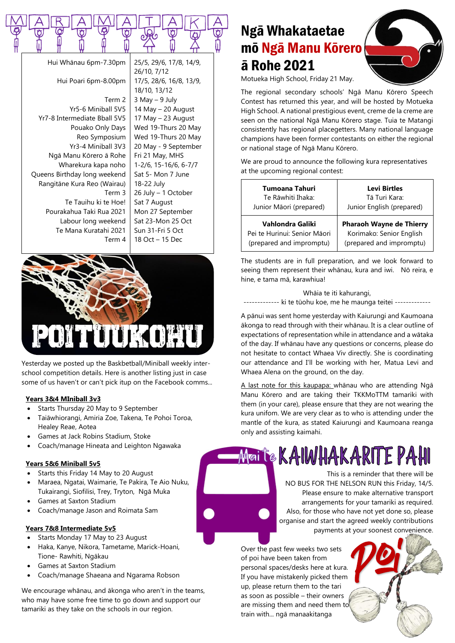|  |  |  | Hui Whānau 6pm-7.30pm   25/5, 29/6, 17/8, 14/9, |  |  |
|--|--|--|-------------------------------------------------|--|--|

Hui Poari 6pm-8.00pm Term 2 Yr5-6 Miniball 5V5 Yr7-8 Intermediate Bball 5V5 Pouako Only Days Reo Symposium Yr3-4 Miniball 3V3 Ngā Manu Kōrero ā Rohe Wharekura kapa noho Queens Birthday long weekend Rangitāne Kura Reo (Wairau) Term 3 Te Tauihu ki te Hoe! Pourakahua Taki Rua 2021 Labour long weekend Te Mana Kuratahi 2021 Term 4

25/5, 29/6, 17/8, 14/9, 26/10, 7/12 17/5, 28/6, 16/8, 13/9, 18/10, 13/12  $3$  May  $-9$  July 14 May – 20 August 17 May – 23 August Wed 19-Thurs 20 May Wed 19-Thurs 20 May 20 May - 9 September Fri 21 May, MHS 1-2/6, 15-16/6, 6-7/7 Sat 5- Mon 7 June 18-22 July 26 July – 1 October Sat 7 August Mon 27 September Sat 23-Mon 25 Oct Sun 31-Fri 5 Oct 18 Oct – 15 Dec



Yesterday we posted up the Baskbetball/Miniball weekly interschool competition details. Here is another listing just in case some of us haven't or can't pick itup on the Facebook comms...

### **Years 3&4 MIniball 3v3**

- Starts Thursday 20 May to 9 September
- Taiāwhiorangi, Amiria Zoe, Takena, Te Pohoi Toroa, Healey Reae, Aotea
- Games at Jack Robins Stadium, Stoke
- Coach/manage Hineata and Leighton Ngawaka

### **Years 5&6 Miniball 5v5**

- Starts this Friday 14 May to 20 August
- Maraea, Ngatai, Waimarie, Te Pakira, Te Aio Nuku, Tukairangi, Siofilisi, Trey, Tryton, Ngā Muka
- Games at Saxton Stadium
- Coach/manage Jason and Roimata Sam

### **Years 7&8 Intermediate 5v5**

- Starts Monday 17 May to 23 August
- Haka, Kanye, Nikora, Tametame, Marick-Hoani, Tione- Rawhiti, Ngākau
- Games at Saxton Stadium
- Coach/manage Shaeana and Ngarama Robson

We encourage whānau, and ākonga who aren't in the teams, who may have some free time to go down and support our tamariki as they take on the schools in our region.

## Ngā Whakataetae mō Ngā Manu Kōrero ā Rohe 2021



Motueka High School, Friday 21 May.

The regional secondary schools' Ngā Manu Kōrero Speech Contest has returned this year, and will be hosted by Motueka High School. A national prestigious event, creme de la creme are seen on the national Ngā Manu Kōrero stage. Tuia te Matangi consistently has regional placegetters. Many national language champions have been former contestants on either the regional or national stage of Ngā Manu Kōrero.

We are proud to announce the following kura representatives at the upcoming regional contest:

| Tumoana Tahuri               | <b>Levi Birtles</b>             |
|------------------------------|---------------------------------|
| Te Rāwhiti Ihaka:            | Tā Turi Kara:                   |
| Junior Māori (prepared)      | Junior English (prepared)       |
| Vahlondra Galiki             | <b>Pharaoh Wayne de Thierry</b> |
| Pei te Hurinui: Senior Māori | Korimako: Senior English        |
| (prepared and impromptu)     | (prepared and impromptu)        |

The students are in full preparation, and we look forward to seeing them represent their whānau, kura and iwi. Nō reira, e hine, e tama mā, karawhiua!

Whāia te iti kahurangi,

------------- ki te tūohu koe, me he maunga teitei --------------

A pānui was sent home yesterday with Kaiurungi and Kaumoana ākonga to read through with their whānau. It is a clear outline of expectations of representation while in attendance and a wātaka of the day. If whānau have any questions or concerns, please do not hesitate to contact Whaea Viv directly. She is coordinating our attendance and I'll be working with her, Matua Levi and Whaea Alena on the ground, on the day.

A last note for this kaupapa: whānau who are attending Ngā Manu Kōrero and are taking their TKKMoTTM tamariki with them (in your care), please ensure that they are not wearing the kura unifom. We are very clear as to who is attending under the mantle of the kura, as stated Kaiurungi and Kaumoana reanga only and assisting kaimahi.

# Maite KAIWHAKARITE PAHI

This is a reminder that there will be NO BUS FOR THE NELSON RUN this Friday, 14/5. Please ensure to make alternative transport arrangements for your tamariki as required. Also, for those who have not yet done so, please organise and start the agreed weekly contributions payments at your soonest convenience.

Over the past few weeks two sets of poi have been taken from personal spaces/desks here at kura. If you have mistakenly picked them up, please return them to the tari as soon as possible – their owners are missing them and need them to train with... ngā manaakitanga

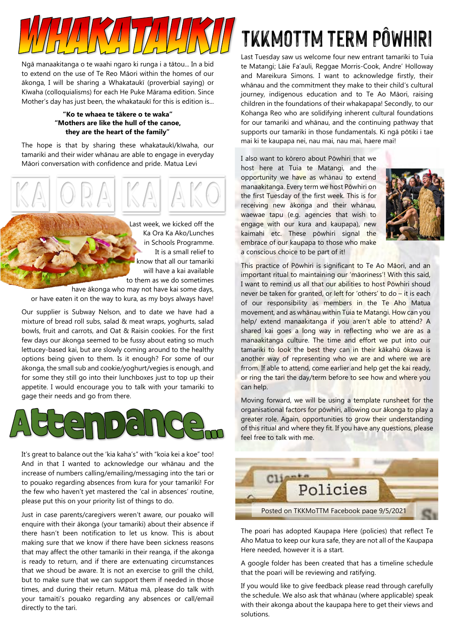

Ngā manaakitanga o te waahi ngaro ki runga i a tātou... In a bid to extend on the use of Te Reo Māori within the homes of our ākonga, I will be sharing a Whakataukī (proverbial saying) or Kīwaha (colloquialisms) for each He Puke Mārama edition. Since Mother's day has just been, the whakataukī for this is edition is...

#### **"Ko te whaea te tākere o te waka" "Mothers are like the hull of the canoe, they are the heart of the family"**

The hope is that by sharing these whakataukī/kīwaha, our tamariki and their wider whānau are able to engage in everyday Māori conversation with confidence and pride. Matua Levi



Last week, we kicked off the Ka Ora Ka Ako/Lunches in Schools Programme. It is a small relief to know that all our tamariki will have a kai available to them as we do sometimes

have ākonga who may not have kai some days, or have eaten it on the way to kura, as my boys always have!

Our supplier is Subway Nelson, and to date we have had a mixture of bread roll subs, salad & meat wraps, yoghurts, salad bowls, fruit and carrots, and Oat & Raisin cookies. For the first few days our ākonga seemed to be fussy about eating so much lettucey-based kai, but are slowly coming around to the healthy options being given to them. Is it enough? For some of our ākonga, the small sub and cookie/yoghurt/vegies is enough, and for some they still go into their lunchboxes just to top up their appetite. I would encourage you to talk with your tamariki to gage their needs and go from there.



It's great to balance out the 'kia kaha's" with "koia kei a koe" too! And in that I wanted to acknowledge our whānau and the increase of numbers calling/emailing/messaging into the tari or to pouako regarding absences from kura for your tamariki! For the few who haven't yet mastered the 'cal in absences' routine, please put this on your priority list of things to do.

Just in case parents/caregivers weren't aware, our pouako will enquire with their ākonga (your tamariki) about their absence if there hasn't been notification to let us know. This is about making sure that we know if there have been sickness reasons that may affect the other tamariki in their reanga, if the akonga is ready to return, and if there are extenuating circumstances that we shoud be aware. It is not an exercise to grill the child, but to make sure that we can support them if needed in those times, and during their return. Mātua mā, please do talk with your tamaiti's pouako regarding any absences or call/email directly to the tari.

# TKKMoTTM term PÔWHIRI

Last Tuesday saw us welcome four new entrant tamariki to Tuia te Matangi; Lāie Fa'auli, Reggae Morris-Cook, Andre' Holloway and Mareikura Simons. I want to acknowledge firstly, their whānau and the commitment they make to their child's cultural journey, indigenous education and to Te Ao Māori, raising children in the foundations of their whakapapa! Secondly, to our Kohanga Reo who are solidifying inherent cultural foundations for our tamariki and whānau, and the continuing pathway that supports our tamariki in those fundamentals. Ki ngā pōtiki i tae mai ki te kaupapa nei, nau mai, nau mai, haere mai!

I also want to kōrero about Pōwhiri that we host here at Tuia te Matangi, and the opportunity we have as whānau to extend manaakitanga. Every term we host Pōwhiri on the first Tuesday of the first week. This is for receiving new ākonga and their whānau, waewae tapu (e.g. agencies that wish to engage with our kura and kaupapa), new kaimahi etc. These pōwhiri signal the embrace of our kaupapa to those who make a conscious choice to be part of it!



This practice of Pōwhiri is significant to Te Ao Māori, and an important ritual to maintaining our 'māoriness'! With this said, I want to remind us all that our abilities to host Powhiri shoud never be taken for granted, or left for 'others' to do – it is each of our responsibility as members in the Te Aho Matua movement, and as whānau within Tuia te Matangi. How can you help/ extend manaakitanga if you aren't able to attend? A shared kai goes a long way in reflecting who we are as a manaakitanga culture. The time and effort we put into our tamariki to look the best they can in their kākahū ōkawa is another way of representing who we are and where we are frrom. If able to attend, come earlier and help get the kai ready, or ring the tari the day/term before to see how and where you can help.

Moving forward, we will be using a template runsheet for the organisational factors for pōwhiri, allowing our ākonga to play a greater role. Again, opportunities to grow their understanding of this ritual and where they fit. If you have any questions, please feel free to talk with me.



The poari has adopted Kaupapa Here (policies) that reflect Te Aho Matua to keep our kura safe, they are not all of the Kaupapa Here needed, however it is a start.

A google folder has been created that has a timeline schedule that the poari will be reviewing and ratifying.

If you would like to give feedback please read through carefully the schedule. We also ask that whānau (where applicable) speak with their akonga about the kaupapa here to get their views and solutions.